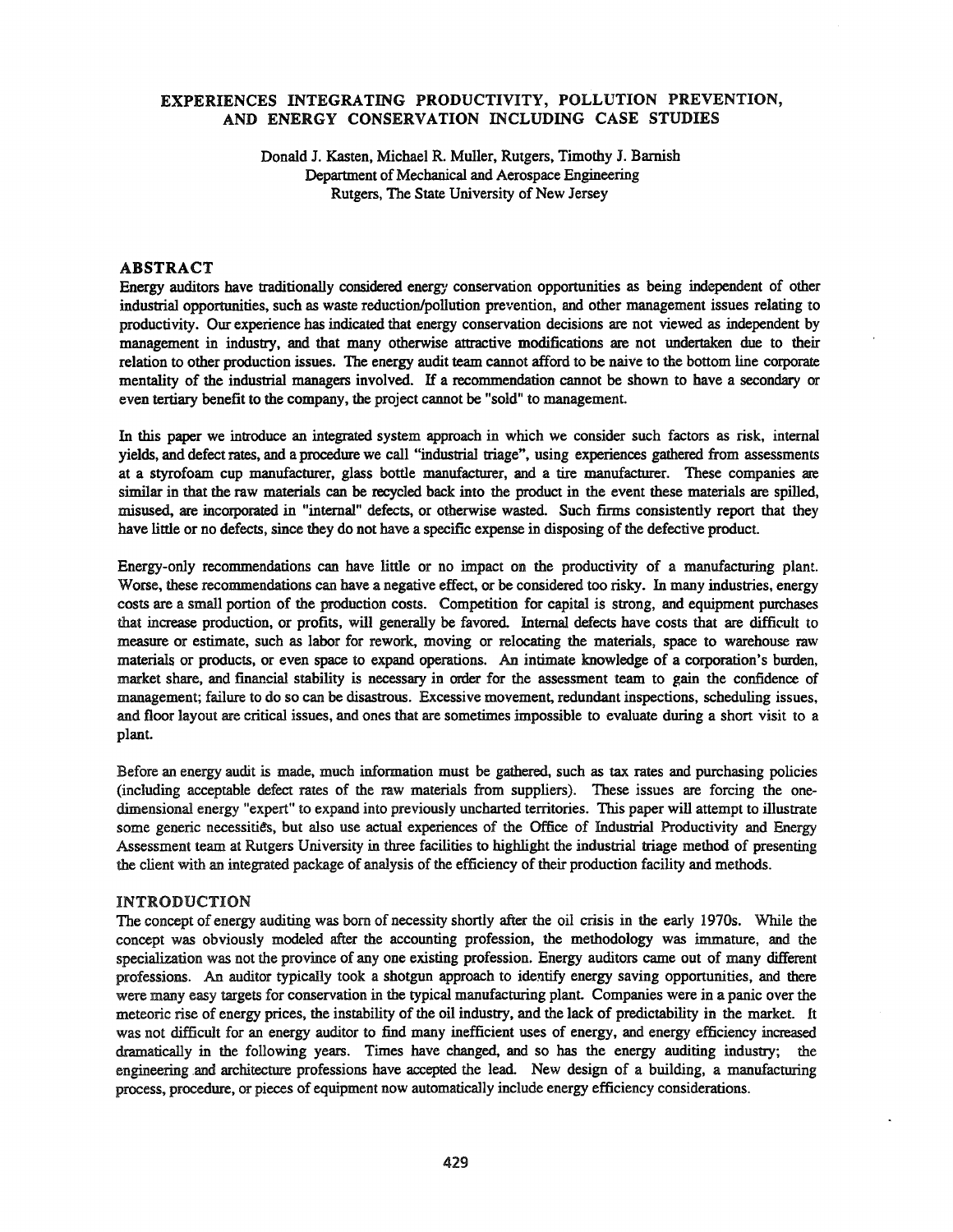#### EXPERIENCES INTEGRATING PRODUCTIVITY, POLLUTION PREVENTION, AND ENERGY CONSERVATION INCLUDING CASE STUDIES

Donald J. Kasten, Michael R. Muller, Rutgers, Timothy J. Barnish Department of Mechanical and Aerospace Engineering Rutgers, The State University of New Jersey

#### ABSTRACT

Energy auditors have traditionally considered energy conservation opportunities as being independent of other industrial opportunities, such as waste reduction/pollution prevention, and other management issues relating to productivity. Our experience has indicated that energy conservation decisions are not viewed as independent by management in industry, and that many otherwise attractive modifications are not undertaken due to their relation to other production issues. The energy audit team cannot afford to be naive to the bottom line corporate mentality of the industrial managers involved. If a recommendation cannot be shown to have a secondary or even tertiary benefit to the company, the project cannot be "sold" to management.

In this paper we introduce an integrated system approach in which we consider such factors as risk, internal yields, and defect rates, and a procedure we call "industrial triage", using experiences gathered from assessments at a styrofoam cup manufacturer, glass bottle manufacturer, and a tire manufacturer. These companies are similar in that the raw materials can be recycled back into the product in the event these materials are spilled, misused, are incorporated in "internal" defects, or otherwise wasted. Such firms consistently report that they have little or no defects, since they do not have a specific expense in disposing of the defective product.

Energy-only recommendations can have little or no impact on the productivity of a manufacturing plant. Worse, these recommendations can have a negative effect, or be considered too risky. In many industries, energy costs are a small portion of the production costs. Competition for capital is strong, and equipment purchases that increase production, or profits, will generally be favored. Internal defects have costs that are difficult to measure or estimate, such as labor for rework. moving or relocating the materials, space to warehouse raw materials or products, or even space to expand operations. An intimate knowledge of a corporation's burden, market share, and financial stability is necessary in order for the assessment team to gain the confidence of management; failure to do so can be disastrous. Excessive movement, redundant inspections, scheduling issues, and floor layout are critical issues, and ones that are sometimes impossible to evaluate during a short visit to a plant.

Before an energy audit is made, mucb information must be gathered, such as tax rates and purchasing policies (including acceptable defect rates of the raw materials from suppliers). These issues are forcing the onedimensional energy "expert" to expand into previously uncharted territories. This paper will attempt to illustrate some generic necessities, but also use actual experiences of the Office of Industrial Productivity and Energy Assessment team at Rutgers University in three facilities to highlight the industrial triage method of presenting the client with an integrated package of analysis of the efficiency of their production facility and methods.

#### INTRODUCTION

The concept of energy auditing was born of necessity shortly after the oil crisis in the early 1970s. While the concept was obviously modeled after the accounting profession, the methodology was immature, and the specialization was not the province of anyone existing profession. Energy auditors came out of many different professions. An auditor typically took a shotgun approach to identify energy saving opportunities, and there were many easy targets for conservation in the typical manufacturing plant. Companies were in a panic over the meteoric rise of energy prices, the instability of the oil industry, and the lack of predictability in the market. It was not difficult for an energy auditor to find many inefficient uses of energy, and energy efficiency increased dramatically in the following years. Times have changed, and so has the energy auditing industry; the engineering and architecture professions have accepted the lead. New design of a building, a manufacturing process, procedure, or pieces of equipment now automatically include energy efficiency considerations.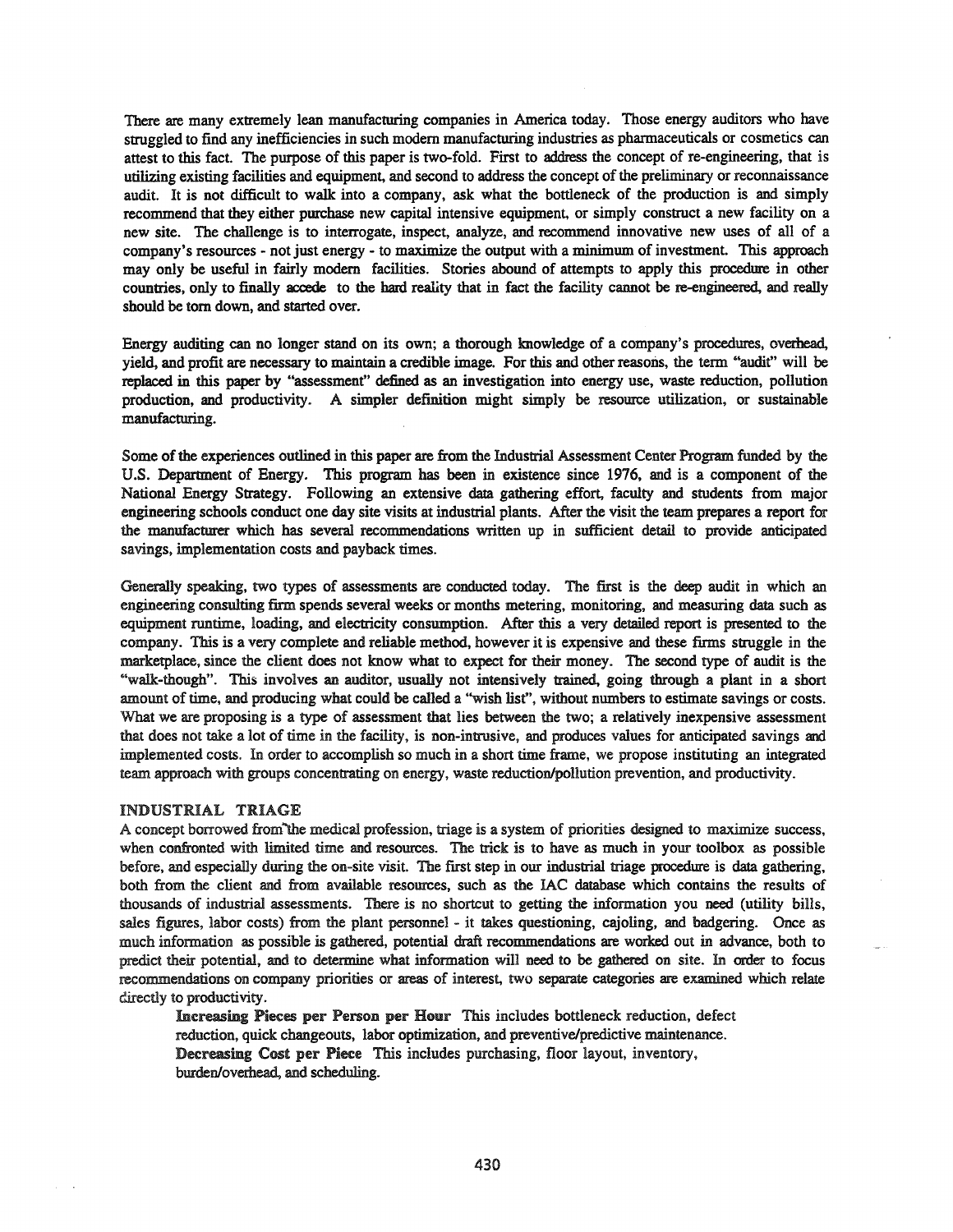There are many extremely lean manufacturing companies in America today. Those energy auditors who have struggled to find any inefficiencies in such modem manufacturing industries as pharmaceuticals or cosmetics can attest to this fact. The purpose of this paper is two-fold. First to address the concept of re-engineering, that is utilizing existing facilities and equipment, and second to address the concept of the preliminary or reconnaissance audit. It is not difficult to walk into a company, ask what the bottleneck of the production is and simply recommend that they either purchase new capital intensive equipment, or simply construct a new facility on a new site. The challenge is to interrogate, inspect, analyze, and recommend innovative new uses of all of a company's resources - not just energy - to maximize the output with a minimum of investment. This approach may only be useful in fairly modem facilities. Stories abound of attempts to apply this procedure in other countries, only to finally accede to the bard reality that in fact the facility cannot be re-engineered, and really should be tom down, and started over.

Energy auditing can no longer stand on its own; a thorough knowledge of a company's procedures, overhead, yield, and profit are necessary to maintain a credible image. For this and other reasons, the term "audit" will be replaced in this paper by "assessment" defined as an investigation into energy use, waste reduction, pollution production, and productivity. A simpler definition might simply be resomce utilization, or sustainable manufacturing.

Some of the experiences outlined in this paper are from the Industrial Assessment Center Program funded by the U.S. Department of Energy. This program has been in existence since 1976, and is a component of the National Energy Strategy. Following an extensive data gathering effort, faculty and students from major engineering schools conduct one day site visits at industrial plants. After the visit the team prepares a report for the manufacturer which has several recommendations written up in sufficient detail to provide anticipated savings, implementation costs and payback times.

Generally speaking, two types of assessments are conducted today. The first is the deep audit in which an engineering consulting firm spends several weeks or months metering, monitoring, and measuring data such as equipment runtime, loading, and electricity consumption. After this a very detailed report is presented to the company. This is a very complete and reliable method, however it is expensive and these firms struggle in the marketplace, since the client does not know what to expect for their money. The second type of audit is the "walk-though". This involves an auditor, usually not intensively trained, going through a plant in a short amount of time, and producing what could be called a "wish list", without numbers to estimate savings or costs. What we are proposing is a type of assessment that lies between the two; a relatively inexpensive assessment that does not take a lot of time in the facility, is non-intrusive, and produces values for anticipated savings and implemented costs. In order to accomplish so much in a short time frame, we propose instituting an integrated team approach with groups concentrating on energy, waste reduction/pollution prevention, and productivity.

### INDUSTRIAL TRIAGE

A concept borrowed from"'the medical profession, triage is a system of priorities designed to maximize success, when confronted with limited time and resources. The trick is to have as much in your toolbox as possible before, and especially during the on-site visit. The first step in our industrial triage procedure is data gathering, both from the client and from available resomces, such as the lAC database which contains the results of thousands of industrial assessments. There is no shortcut to getting the information you need (utility bills, sales figures, labor costs) from the plant personnel - it takes questioning, cajoling, and badgering. Once as much information as possible is gathered, potential draft recommendations are worked out in advance, both to predict their potential, and to determine what information will need to be gathered on site. In order to focus recommendations on company priorities or areas of interest, two separate categories are examined which relate directly to productivity.

Increasing Pieces per Person per Hour This includes bottleneck reduction, defect reduction, quick changeouts, labor optimization, and preventive/predictive maintenance. Decreasing Cost per Piece This includes purchasing, floor layout, inventory, burden/overhead, and scheduling.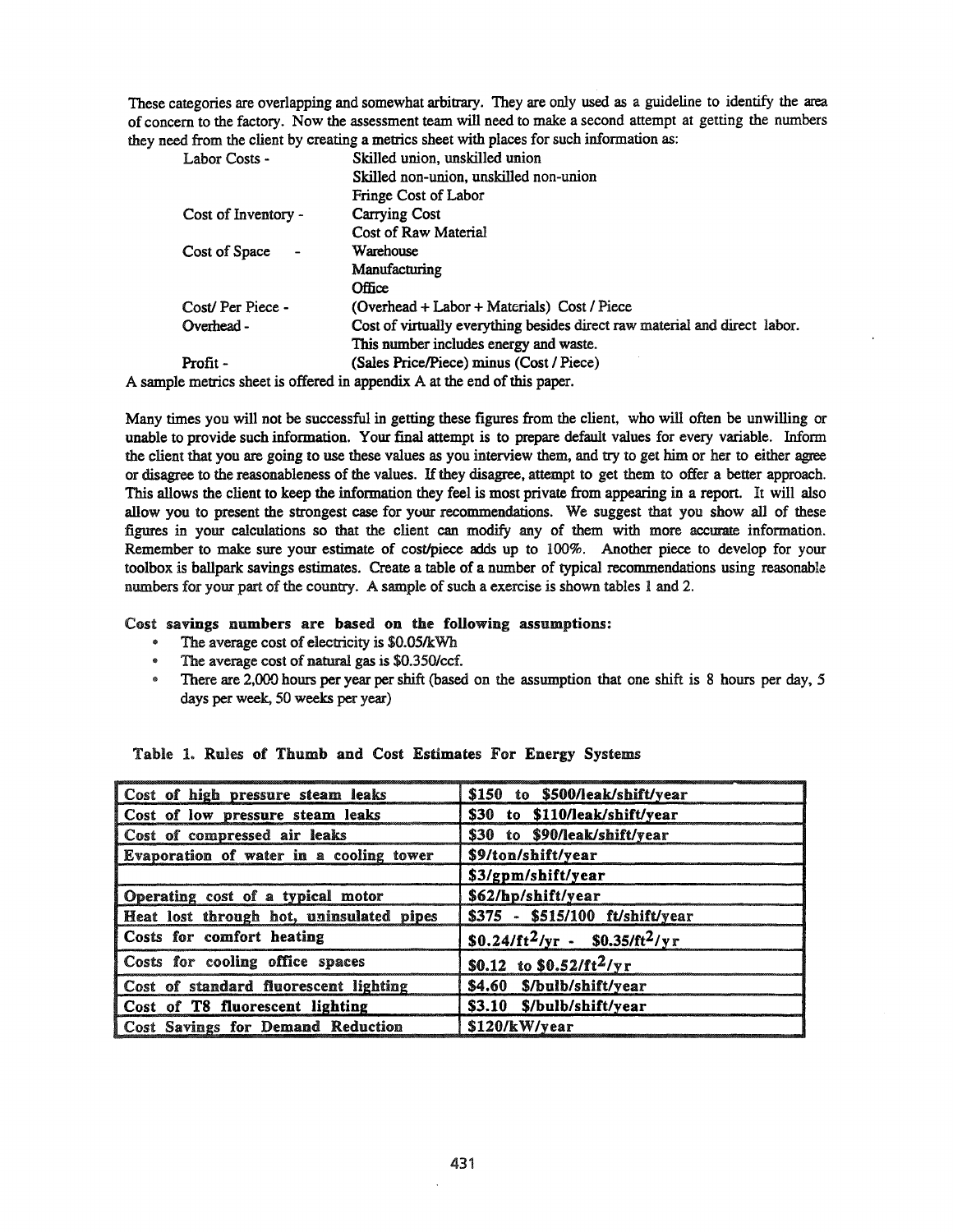These categories are overlapping and somewhat arbitrary. They are only used as a guideline to identify the area of concern to the factory. Now the assessment team will need to make a second attempt at getting the numbers they need from the client by creating a metrics sheet with places for such information as:

| Labor Costs -       | Skilled union, unskilled union                                             |
|---------------------|----------------------------------------------------------------------------|
|                     | Skilled non-union, unskilled non-union                                     |
|                     | Fringe Cost of Labor                                                       |
| Cost of Inventory - | <b>Carrying Cost</b>                                                       |
|                     | Cost of Raw Material                                                       |
| Cost of Space       | Warehouse                                                                  |
|                     | Manufacturing                                                              |
|                     | Office                                                                     |
| Cost/Per Piece -    | (Overhead + Labor + Materials) Cost / Piece                                |
| Overhead -          | Cost of virtually everything besides direct raw material and direct labor. |
|                     | This number includes energy and waste.                                     |
| Profit -            | (Sales Price/Piece) minus (Cost / Piece)                                   |

A sample metrics sheet is offered in appendix A at the end of this paper.

Many times you will not be successful in getting these figures from the client, who will often be unwilling or unable to provide such information. Your final attempt is to prepare default values for every variable. Inform the client that you are going to use these values as you interview them, and try to get him or her to either agree or disagree to the reasonableness of the values. If they disagree, attempt to get them to offer a better approach. This allows the client to keep the information they feel is most private from appearing in a report. It will also allow you to present the strongest case for your recommendations. We suggest that you show all of these figures in your calculations so that the client can modify any of them with more accurate information. Remember to make sure your estimate of cost/piece adds up to 100%. Another piece to develop for your toolbox is ballpark savings estimates. Create a table of a number of typical recommendations using reasonable numbers for your part of the country. A sample of such a exercise is shown tables 1 and 2.

### Cost savings numbers are based on the following assumptions:

- The average cost of electricity is \$0.05/kWh
- .. The average cost of natural gas is \$O.350/ccf.
- There are 2,000 hours per year per shift (based on the assumption that one shift is 8 hours per day, 5 days per week, 50 weeks per year)

| Cost of high pressure steam leaks        | \$150 to \$500/leak/shift/year                |
|------------------------------------------|-----------------------------------------------|
| Cost of low pressure steam leaks         | \$30 to \$110/leak/shift/year                 |
| Cost of compressed air leaks             | \$30 to \$90/leak/shift/year                  |
| Evaporation of water in a cooling tower  | \$9/ton/shift/year                            |
|                                          | \$3/gpm/shift/year                            |
| Operating cost of a typical motor        | \$62/hp/shift/year                            |
| Heat lost through hot, uninsulated pipes | \$375 - \$515/100 ft/shift/year               |
| Costs for comfort heating                | $$0.24/ft^2$ /yr - \$0.35/ft <sup>2</sup> /yr |
| Costs for cooling office spaces          | \$0.12 to \$0.52/ft <sup>2</sup> /yr          |
| Cost of standard fluorescent lighting    | \$4.60 \$/bulb/shift/year                     |
| Cost of T8 fluorescent lighting          | \$3.10 \$/bulb/shift/year                     |
| Cost Savings for Demand Reduction        | \$120/kW/year                                 |

### Table 1. Rules of Thumb and Cost Estimates For Energy Systems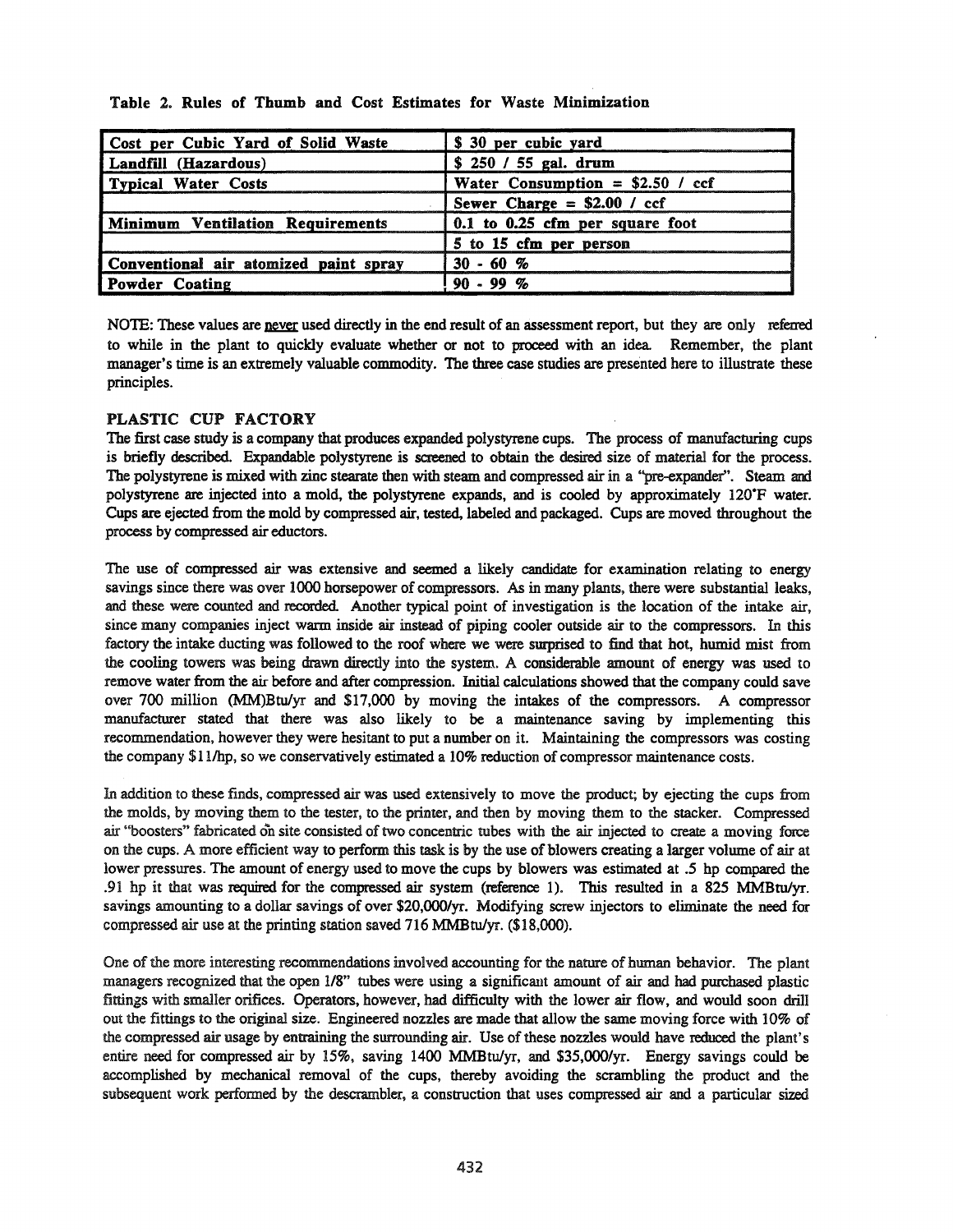| Cost per Cubic Yard of Solid Waste    | \$ 30 per cubic yard                    |  |  |
|---------------------------------------|-----------------------------------------|--|--|
| Landfill (Hazardous)                  | $$250 / 55$ gal. drum                   |  |  |
| Typical Water Costs                   | Water Consumption = $$2.50$ / ccf       |  |  |
|                                       | Sewer Charge = $$2.00 / ccf$            |  |  |
| Minimum Ventilation Requirements      | $\vert$ 0.1 to 0.25 cfm per square foot |  |  |
|                                       | 5 to 15 cfm per person                  |  |  |
| Conventional air atomized paint spray | $30 - 60 %$                             |  |  |
| Powder Coating                        | $90 - 99 %$                             |  |  |

Table 2. Rules of Thumb and Cost Estimates for Waste Minimization

NOTE: These values are never used directly in the end result of an assessment report, but they are only referred to while in the plant to quickly evaluate whether or not to proceed with an idea Remember, the plant manager's time is an extremely valuable commodity. The three case studies are presented here to illustrate these principles.

# PLASTIC CUP FACTORY

The first case study is a company that produces expanded polystyrene cups. The process of manufacturing cups is briefly described. Expandable polystyrene is screened to obtain the desired size of material for the process. The polystyrene is mixed with zinc stearate then with steam and compressed air in a "pre-expander". Steam and polystyrene are injected into a mold, the polystyrene expands, and is cooled by approximately 120'F water. Cups are ejected from the mold by compressed air, tested, labeled and packaged. Cups are moved throughout the process by compressed air eduetors.

The use of compressed air was extensive and seemed a likely candidate for examination relating to energy savings since there was over 1000 horsepower of compressors. As in many plants, there were substantial leaks, and these were counted and recorded. Another typical point of investigation is the location of the intake air, since many companies inject warm inside air instead of piping cooler outside air to the compressors. In this factory the intake ducting was followed to the roof where we were smprised to find that hot, humid mist from the cooling towers was being drawn directly into the system. A considerable amount of energy was used to remove water from the air before and after compression. Initial calculations showed that the company could save over 700 million (MM)Btulyr and \$17,000 by moving the intakes of the compressors. A compressor manufacturer stated that there was also likely to be a maintenance saving by implementing this recommendation, however they were hesitant to put a number on it. Maintaining the compressors was costing the company \$11/hp, so we conservatively estimated a 10% reduction of compressor maintenance costs.

In addition to these finds, compressed air was used extensively to move the product; by ejecting the cups from the molds, by moving them to the tester, to the printer, and then by moving them to the stacker. Compressed air "boosters" fabricated on site consisted of two concentric tubes with the air injected to create a moving force on the cups. A more efficient way to perform this task is by the use of blowers creating a larger volume of air at lower pressures. The amount of energy used to move the cups by blowers was estimated at .5 hp compared the .91 hp it that was required for the compressed air system (reference 1). This resulted in a 825 MMBtulyr. savings amounting to a dollar savings of over *\$20,000/yr.* Modifying screw injectors to eliminate the need for compressed air use at the printing station saved 716 MMBtulyr. (\$18,000).

One of the more interesting recommendations involved accounting for the nature of human behavior. The plant managers recognized that the open *118"* tubes were using a significant amount of air and had purchased plastic fittings with smaller orifices. Operators, however, had difficulty with the lower air flow, and would soon drill out the fittings to the original size. Engineered nozzles are made that allow the same moving force with 10% of the compressed air usage by entraining the surrounding air. Use of these nozzles would have reduced the plant's entire need for compressed air by 15%, saving 1400 MMBtulyr, and *\$35,OOO/yr.* Energy savings could be accomplished by mechanical removal of the cups, thereby avoiding the scrambling the product and the subsequent work performed by the descrambler, a construction that uses compressed air and a particular sized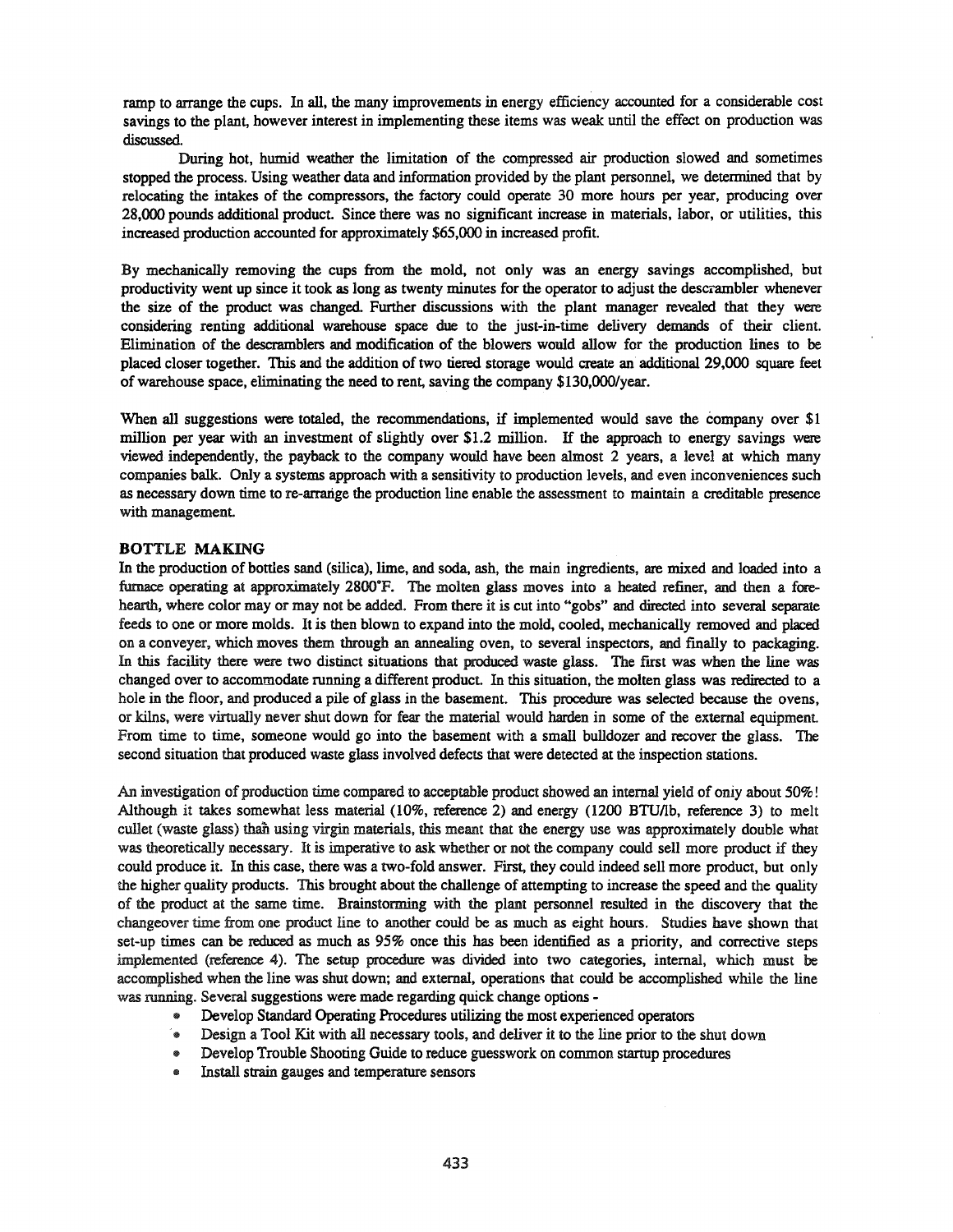ramp to arrange the cups. In all, the many improvements in energy efficiency accounted for a considerable cost savings to the plant, however interest in implementing these items was weak until the effect on production was discussed.

During hot, humid weather the limitation of the compressed air production slowed and sometimes stopped the process. Using weather data and information provided by the plant personnel, we determined that by relocating the intakes of the compressors, the factory could operate 30 more hours per year, producing over 28,000 pounds additional product. Since there was no significant increase in materials, labor, or utilities, this increased production accounted for approximately \$65,000 in increased profit.

By mechanically removing the cups from the mold, not only was an energy savings accomplished, but productivity went up since it took as long as twenty minutes for the operator to adjust the descrambler whenever the size of the product was changed. Further discussions with the plant manager revealed that they were considering renting additional warehouse space due to the just-in-time delivery demands of their client. Elimination of the descramblers and modification of the blowers would allow for the production lines to be placed closer together. This and the addition of two tiered storage would create an additional 29,000 square feet of warehouse space, eliminating the need to rent, saving the company \$130,000/year.

When all suggestions were totaled, the recommendations, if implemented would save the company over \$1 million per year with an investment of slightly over \$1.2 million. If the approach to energy savings were viewed independently, the payback to the company would have been almost 2 years, a level at which many companies balk. Only a systems approach with a sensitivity to production levels, and even inconveniences such as necessary down time to re-arrange the production line enable the assessment to maintain a creditable presence with management.

#### BOTTLE MAKING

In the production of bottles sand (silica), lime, and soda, ash, the main ingredients, are mixed and loaded into a furnace operating at approximately 2800°F. The molten glass moves into a heated refiner, and then a forehearth, where color may or may not be added. From there it is cut into "gobs" and directed into several separate feeds to one or more molds. It is then blown to expand into the mold, cooled, mechanically removed and placed on a conveyer, which moves them through an annealing oven, to several inspectors, and fmally to packaging. In this facility there were two distinct situations that produced waste glass. The first was when the line was changed over to accommodate running a different product. In this situation, the molten glass was redirected to a hole in the floor, and produced a pile of glass in the basement. This procedure was selected because the ovens, or kilns, were virtually never shut down for fear the material would harden in some of the external equipment. From time to time, someone would go into the basement with a small bulldozer and recover the glass. The second situation that produced waste glass involved defects that were detected at the inspection stations.

An investigation of production time compared to acceptable product showed an internal yield of oniy about 50%! Although it takes somewhat less material (10%, reference 2) and energy (1200 BTU/lb, reference 3) to melt cullet (waste glass) than using virgin materials, this meant that the energy use was approximately double what was theoretically necessary. It is imperative to ask whether or not the company could sell more product if they could produce it. In this case, there was a two-fold answer. First, they could indeed sell more product, but only the higher quality products. This brought about the challenge of attempting to increase the speed and the quality of the product at the same time. Brainstorming with the plant personnel resulted in the discovery that the changeover time from one product line to another could be as much as eight hours. Studies have shown that set-up times can be reduced as much as 95% once this has been identified as a priority, and corrective steps implemented (reference 4). The setup procedure was divided into two categories, internal, which must be accomplished when the line was shut down; and external, operations that could be accomplished while the line was running. Several suggestions were made regarding quick change options -

- " Develop Standard Operating Procedures utilizing the most experienced operators
- @ Design a Tool Kit with all necessary tools, and deliver it to the line prior to the shut down
- " Develop Trouble Shooting Guide to reduce guesswork on common startup procedures
- Install strain gauges and temperature sensors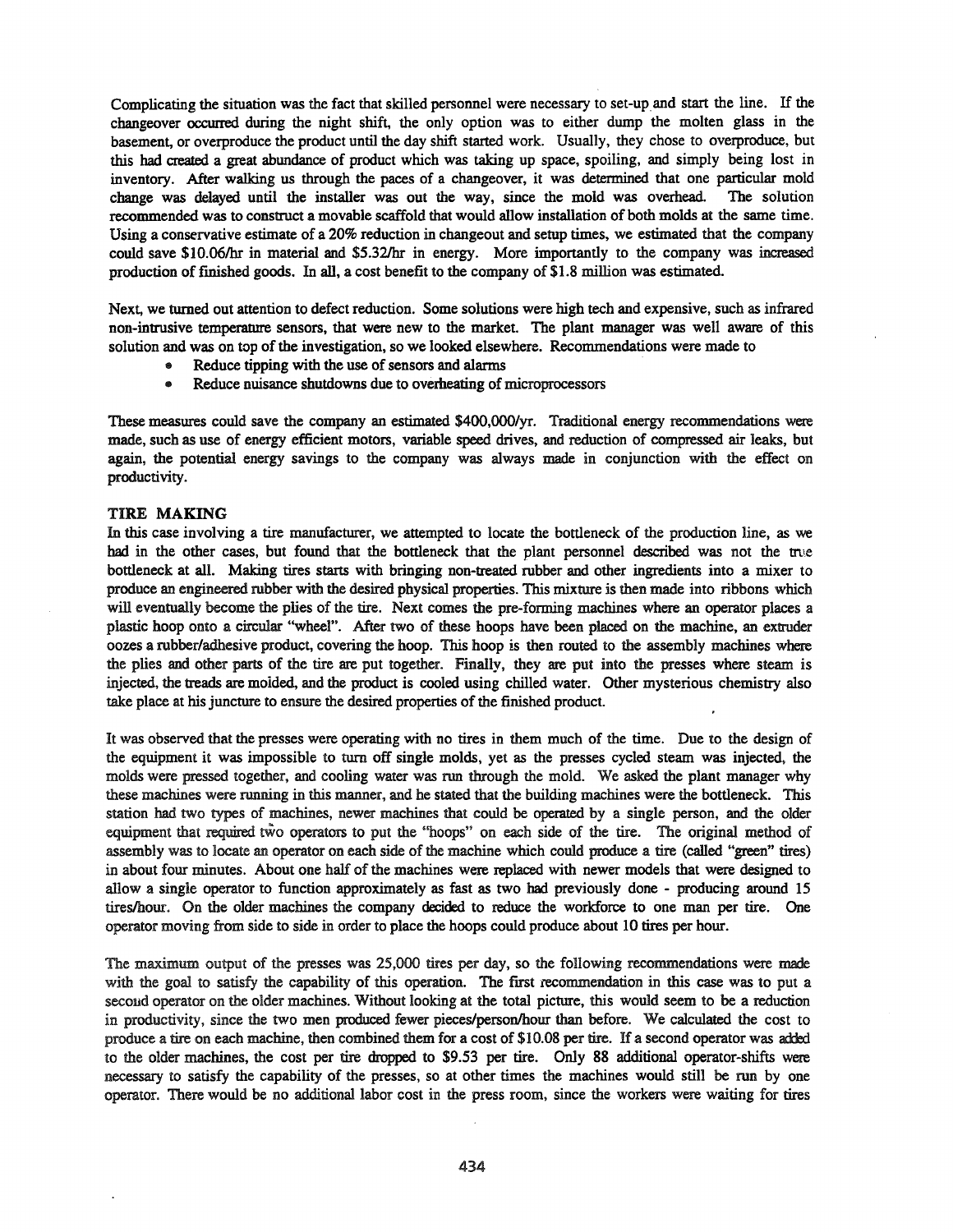Complicating the situation was the fact that skilled personnel were necessary to set-up and start the line. If the changeover occwred during the night shift, the only option was to either dump the molten glass in the basement, or overproduce the product until the day shift started work. Usually, they chose to overproduce, but this bad created a great abundance of product which was taking up space, spoiling, and simply being lost in inventory. After walking us through the paces of a changeover, it was determined that one particular mold change was delayed until the installer was out the way, since the mold was overhead. The solution recommended was to construct a movable scaffold that would allow installation of both molds at the same time. Using a conservative estimate of a 20% reduction in changeout and setup times, we estimated that the company could save \$1O.06/hr in material and \$5.32/hr in energy. More importantly to the company was increased production offinished goods. In all, a cost benefit to the company of \$1.8 million was estimated.

Next, we turned out attention to defect reduction. Some solutions were high tech and expensive, such as infrared non-intrusive temperature sensors, that were new to the market. The plant manager was well aware of this solution and was on top of the investigation, so we looked elsewhere. Recommendations were made to

- Reduce tipping with the use of sensors and alarms
- Reduce nuisance shutdowns due to overheating of microprocessors

These measures could save the company an estimated \$400,OOO/yr. Traditional energy recommendations were made, such as use of energy efficient motors, variable speed drives, and reduction of compressed air leaks, but again, the potential energy savings to the company was always made in conjunction with the effect on productivity.

#### TIRE MAKING

In this case involving a tire manufacturer, we attempted to locate the bottleneck of the production line, as we had in the other cases, but found that the bottleneck that the plant personnel described was not the true bottleneck at all. Making tires starts with bringing non-treated rubber and other ingredients into a mixer to produce an engineered rubber with the desired physical properties. This mixture is then made into ribbons which will eventually become the plies of the tire. Next comes the pre-forming machines where an operator places a plastic hoop onto a circular "wheel". After two of these hoops have been placed on the machine, an extruder oozes a rubber/adhesive product, covering the hoop. This hoop is then routed to the assembly machines where the plies and other parts of the tire are put together. Finally, they are put into the presses where steam is injected, the treads are molded, and the product is cooled using chilled water. Other mysterious chemistry also take place at his juncture to ensure the desired properties of the finished product.

It was observed that the presses were operating with no tires in them much of the time. Due to the design of the equipment it was impossible to turn off single molds, yet as the presses cycled steam was injected, the molds were pressed together, and cooling water was run through the mold. We asked the plant manager why these machines were running in this manner, and he stated that the building machines were the bottleneck. This station had two types of machines, newer machines that could be operated by a single person, and the older equipment that required two operators to put the "hoops" on each side of the tire. The original method of assembly was to locate an operator on each side of the machine which could produce a tire (called "green" tires) in about four minutes. About one half of the machines were replaced with newer models that were designed to allow a single operator to function approximately as fast as two bad previously done - producing around 15 tireslhour. On the older machines the company decided to reduce the workforce to one man per tire. One operator moving from side to side in order to place the hoops could produce about 10 tires per hour.

The maximum output of the presses was 25,000 tires per day, so the following recommendations were made with the goal to satisfy the capability of this operation. The first recommendation in this case was to put a second operator on the older machines. Without looking at the total picture, this would seem to be a reduction in productivity, since the two men produced fewer pieces/person/hour than before. We calculated the cost to produce a tire on each machine, then combined them for a cost of \$10.08 per tire. If a second operator was added to the older machines, the cost per tire dropped to \$9.53 per tire. Only 88 additional operator-shifts were necessary to satisfy the capability of the presses, so at other times the machines would still be run by one operator. There would be no additional labor cost in the press room, since the workers were waiting for tires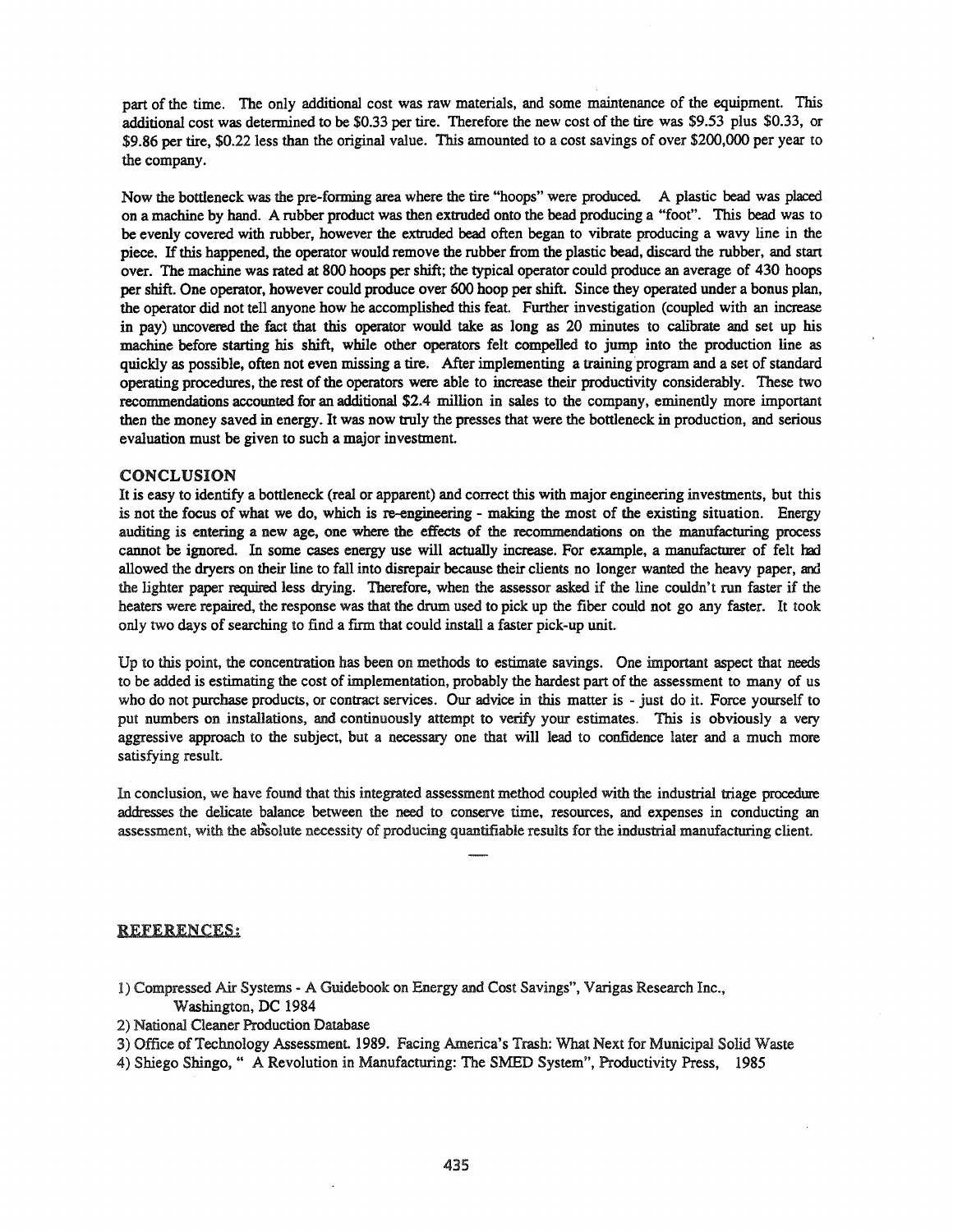part of the time. The only additional cost was raw materials, and some maintenance of the equipment. This additional cost was determined to be \$0.33 per tire. Therefore the new cost of the tire was \$9.53 plus \$0.33, or \$9.86 per tire, \$0.22 less than the original value. This amounted to a cost savings of over \$200,000 per year to the company.

Now the bottleneck was the pre-forming area where the tire "hoops" were produced. A plastic bead was placed on a machine by hand. A rubber product was then extruded onto the bead producing a "foot". This bead was to be evenly covered with rubber, however the extruded bead often began to vibrate producing a wavy line in the piece. Ifthis happened, the operator would remove the rubber from the plastic bead, discard the rubber, and start over. The machine was rated at 800 hoops per shift; the typical operator could produce an average of 430 hoops per shift. One operator, however could produce over 600 hoop per shift. Since they operated under a bonus plan, the operator did not tell anyone how he accomplished this feat. Further investigation (coupled with an increase in pay) uncovered the fact that this operator would take as long as 20 minutes to calibrate and set up his machine before starting his shift, while other operators felt compelled to jump into the production line as quickly as possible, often not even missing a tire. After implementing a training program and a set of standard operating procedures, the rest ofthe operators were able to increase their productivity considerably. These two recommendations accounted for an additional \$2.4 million in sales to the company, eminently more important then the money saved in energy. It was now truly the presses that were the bottleneck in production, and serious evaluation must be given to such a major investment.

#### CONCLUSION

It is easy to identify a bottleneck (real or apparent) and correct this with major engineering investments, but this is not the focus of what we do, which is re-engineering - making the most of the existing situation. Energy auditing is entering a new age, one where the effects of the recommendations on the manufacturing process cannot be ignored. In some cases energy use will actually increase. For example, a manufacturer of felt had allowed the dryers on their line to fall into disrepair because their clients no longer wanted the heavy paper, and the lighter paper required less drying. Therefore, when the assessor asked if the line couldn't run faster if the heaters were repaired, the response was that the drum used to pick up the fiber could not go any faster. It took only two days of searching to find a firm that could install a faster pick-up unit.

Up to this point, the concentration has been on methods to estimate savings. One important aspect that needs to be added is estimating the cost of implementation, probably the hardest part of the assessment to many of us who do not purchase products, or contract services. Our advice in this matter is - just do it. Force yourself to put numbers on installations, and continuously attempt to verify your estimates. This is obviously a very aggressive approach to the subject, but a necessary one that will lead to confidence later and a much more satisfying result.

In conclusion, we have found that this integrated assessment method coupled with the industrial triage procedure addresses the delicate balance between the need to conserve time, resources, and expenses in conducting an assessment, with the absolute necessity of producing quantifiable results for the industrial manufacturing client.

#### REFERENCES;

- 1) Compressed Air Systems A Guidebook on Energy and Cost Savings", Varigas Research Inc., Washington, DC 1984
- 2) National Cleaner Production Database
- 3) Office ofTechnology Assessment. 1989. Facing America's Trash: What Next for Municipal Solid Waste
- 4) Shiego Shingo," A Revolution in Manufacturing: The SMED System", Productivity Press, 1985